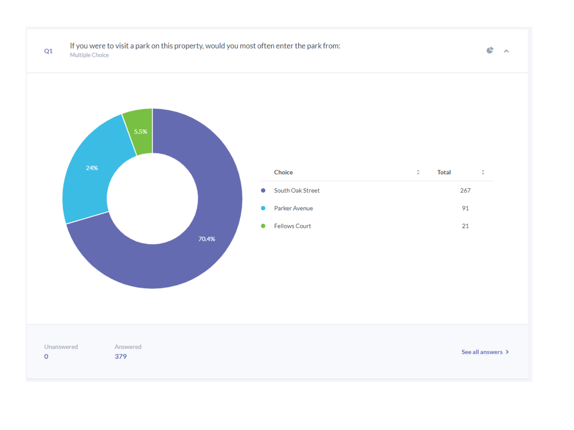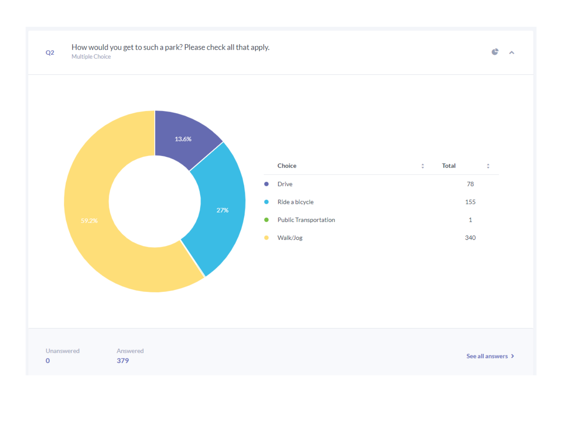

## How would you get to such a park? Please check all that apply. Multiple Choice



 $\mathbf{C}$   $\mathbf{A}$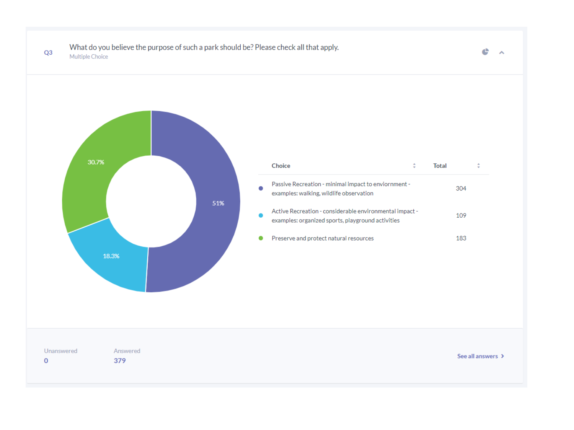

## What do you believe the purpose of such a park should be? Please check all that apply. Multiple Choice

e  $\sim$   $\sim$ 

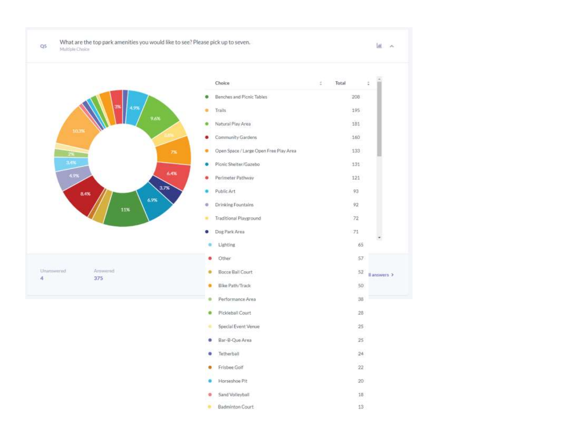What are the top park amenities you would like to see? Please pick up to seven. Multiple Choice

 $Q<sub>5</sub>$ 



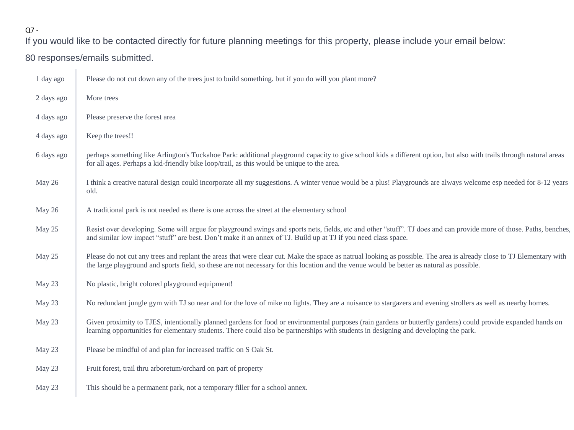## Q7 -

If you would like to be contacted directly for future planning meetings for this property, please include your email below:

## 80 responses/emails submitted.

| 1 day ago  | Please do not cut down any of the trees just to build something, but if you do will you plant more?                                                                                                                                                                                                                |
|------------|--------------------------------------------------------------------------------------------------------------------------------------------------------------------------------------------------------------------------------------------------------------------------------------------------------------------|
| 2 days ago | More trees                                                                                                                                                                                                                                                                                                         |
| 4 days ago | Please preserve the forest area                                                                                                                                                                                                                                                                                    |
| 4 days ago | Keep the trees!!                                                                                                                                                                                                                                                                                                   |
| 6 days ago | perhaps something like Arlington's Tuckahoe Park: additional playground capacity to give school kids a different option, but also with trails through natural areas<br>for all ages. Perhaps a kid-friendly bike loop/trail, as this would be unique to the area.                                                  |
| May 26     | I think a creative natural design could incorporate all my suggestions. A winter venue would be a plus! Playgrounds are always welcome esp needed for 8-12 years<br>old.                                                                                                                                           |
| May 26     | A traditional park is not needed as there is one across the street at the elementary school                                                                                                                                                                                                                        |
| May 25     | Resist over developing. Some will argue for playground swings and sports nets, fields, etc and other "stuff". TJ does and can provide more of those. Paths, benches,<br>and similar low impact "stuff" are best. Don't make it an annex of TJ. Build up at TJ if you need class space.                             |
| May 25     | Please do not cut any trees and replant the areas that were clear cut. Make the space as natrual looking as possible. The area is already close to TJ Elementary with<br>the large playground and sports field, so these are not necessary for this location and the venue would be better as natural as possible. |
| May 23     | No plastic, bright colored playground equipment!                                                                                                                                                                                                                                                                   |
| May 23     | No redundant jungle gym with TJ so near and for the love of mike no lights. They are a nuisance to stargazers and evening strollers as well as nearby homes.                                                                                                                                                       |
| May 23     | Given proximity to TJES, intentionally planned gardens for food or environmental purposes (rain gardens or butterfly gardens) could provide expanded hands on<br>learning opportunities for elementary students. There could also be partnerships with students in designing and developing the park.              |
| May 23     | Please be mindful of and plan for increased traffic on S Oak St.                                                                                                                                                                                                                                                   |
| May 23     | Fruit forest, trail thru arboretum/orchard on part of property                                                                                                                                                                                                                                                     |
| May 23     | This should be a permanent park, not a temporary filler for a school annex.                                                                                                                                                                                                                                        |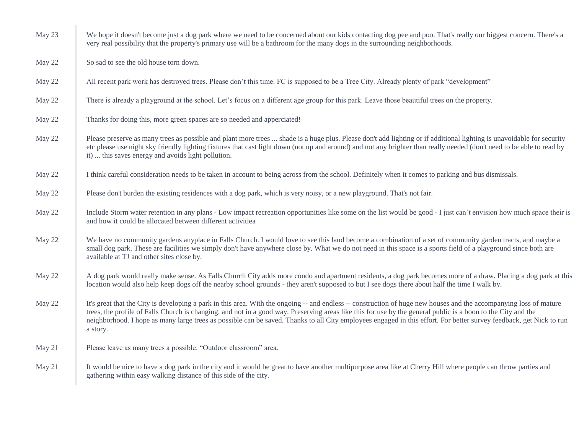| May 23 | We hope it doesn't become just a dog park where we need to be concerned about our kids contacting dog pee and poo. That's really our biggest concern. There's a<br>very real possibility that the property's primary use will be a bathroom for the many dogs in the surrounding neighborhoods.                                                                                                                                                                                                                        |
|--------|------------------------------------------------------------------------------------------------------------------------------------------------------------------------------------------------------------------------------------------------------------------------------------------------------------------------------------------------------------------------------------------------------------------------------------------------------------------------------------------------------------------------|
| May 22 | So sad to see the old house torn down.                                                                                                                                                                                                                                                                                                                                                                                                                                                                                 |
| May 22 | All recent park work has destroyed trees. Please don't this time. FC is supposed to be a Tree City. Already plenty of park "development"                                                                                                                                                                                                                                                                                                                                                                               |
| May 22 | There is already a playground at the school. Let's focus on a different age group for this park. Leave those beautiful trees on the property.                                                                                                                                                                                                                                                                                                                                                                          |
| May 22 | Thanks for doing this, more green spaces are so needed and apperciated!                                                                                                                                                                                                                                                                                                                                                                                                                                                |
| May 22 | Please preserve as many trees as possible and plant more trees  shade is a huge plus. Please don't add lighting or if additional lighting is unavoidable for security<br>etc please use night sky friendly lighting fixtures that cast light down (not up and around) and not any brighter than really needed (don't need to be able to read by<br>it)  this saves energy and avoids light pollution.                                                                                                                  |
| May 22 | I think careful consideration needs to be taken in account to being across from the school. Definitely when it comes to parking and bus dismissals.                                                                                                                                                                                                                                                                                                                                                                    |
| May 22 | Please don't burden the existing residences with a dog park, which is very noisy, or a new playground. That's not fair.                                                                                                                                                                                                                                                                                                                                                                                                |
| May 22 | Include Storm water retention in any plans - Low impact recreation opportunities like some on the list would be good - I just can't envision how much space their is<br>and how it could be allocated between different activitiea                                                                                                                                                                                                                                                                                     |
| May 22 | We have no community gardens anyplace in Falls Church. I would love to see this land become a combination of a set of community garden tracts, and maybe a<br>small dog park. These are facilities we simply don't have anywhere close by. What we do not need in this space is a sports field of a playground since both are<br>available at TJ and other sites close by.                                                                                                                                             |
| May 22 | A dog park would really make sense. As Falls Church City adds more condo and apartment residents, a dog park becomes more of a draw. Placing a dog park at this<br>location would also help keep dogs off the nearby school grounds - they aren't supposed to but I see dogs there about half the time I walk by.                                                                                                                                                                                                      |
| May 22 | It's great that the City is developing a park in this area. With the ongoing -- and endless -- construction of huge new houses and the accompanying loss of mature<br>trees, the profile of Falls Church is changing, and not in a good way. Preserving areas like this for use by the general public is a boon to the City and the<br>neighborhood. I hope as many large trees as possible can be saved. Thanks to all City employees engaged in this effort. For better survey feedback, get Nick to run<br>a story. |
| May 21 | Please leave as many trees a possible. "Outdoor classroom" area.                                                                                                                                                                                                                                                                                                                                                                                                                                                       |
| May 21 | It would be nice to have a dog park in the city and it would be great to have another multipurpose area like at Cherry Hill where people can throw parties and<br>gathering within easy walking distance of this side of the city.                                                                                                                                                                                                                                                                                     |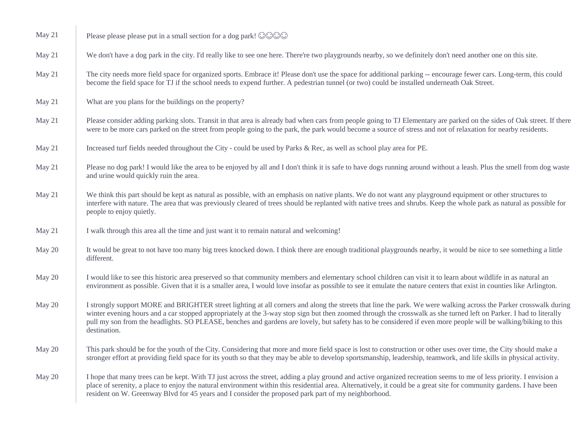| May 21 | Please please please put in a small section for a dog park! $\odot$ $\odot$ $\odot$                                                                                                                                                                                                                                                                                                                                                                                                                                      |
|--------|--------------------------------------------------------------------------------------------------------------------------------------------------------------------------------------------------------------------------------------------------------------------------------------------------------------------------------------------------------------------------------------------------------------------------------------------------------------------------------------------------------------------------|
| May 21 | We don't have a dog park in the city. I'd really like to see one here. There're two playgrounds nearby, so we definitely don't need another one on this site.                                                                                                                                                                                                                                                                                                                                                            |
| May 21 | The city needs more field space for organized sports. Embrace it! Please don't use the space for additional parking -- encourage fewer cars. Long-term, this could<br>become the field space for TJ if the school needs to expend further. A pedestrian tunnel (or two) could be installed underneath Oak Street.                                                                                                                                                                                                        |
| May 21 | What are you plans for the buildings on the property?                                                                                                                                                                                                                                                                                                                                                                                                                                                                    |
| May 21 | Please consider adding parking slots. Transit in that area is already bad when cars from people going to TJ Elementary are parked on the sides of Oak street. If there<br>were to be more cars parked on the street from people going to the park, the park would become a source of stress and not of relaxation for nearby residents.                                                                                                                                                                                  |
| May 21 | Increased turf fields needed throughout the City - could be used by Parks & Rec, as well as school play area for PE.                                                                                                                                                                                                                                                                                                                                                                                                     |
| May 21 | Please no dog park! I would like the area to be enjoyed by all and I don't think it is safe to have dogs running around without a leash. Plus the smell from dog waste<br>and urine would quickly ruin the area.                                                                                                                                                                                                                                                                                                         |
| May 21 | We think this part should be kept as natural as possible, with an emphasis on native plants. We do not want any playground equipment or other structures to<br>interfere with nature. The area that was previously cleared of trees should be replanted with native trees and shrubs. Keep the whole park as natural as possible for<br>people to enjoy quietly.                                                                                                                                                         |
| May 21 | I walk through this area all the time and just want it to remain natural and welcoming!                                                                                                                                                                                                                                                                                                                                                                                                                                  |
| May 20 | It would be great to not have too many big trees knocked down. I think there are enough traditional playgrounds nearby, it would be nice to see something a little<br>different.                                                                                                                                                                                                                                                                                                                                         |
| May 20 | I would like to see this historic area preserved so that community members and elementary school children can visit it to learn about wildlife in as natural an<br>environment as possible. Given that it is a smaller area, I would love insofar as possible to see it emulate the nature centers that exist in counties like Arlington.                                                                                                                                                                                |
| May 20 | I strongly support MORE and BRIGHTER street lighting at all corners and along the streets that line the park. We were walking across the Parker crosswalk during<br>winter evening hours and a car stopped appropriately at the 3-way stop sign but then zoomed through the crosswalk as she turned left on Parker. I had to literally<br>pull my son from the headlights. SO PLEASE, benches and gardens are lovely, but safety has to be considered if even more people will be walking/biking to this<br>destination. |
| May 20 | This park should be for the youth of the City. Considering that more and more field space is lost to construction or other uses over time, the City should make a<br>stronger effort at providing field space for its youth so that they may be able to develop sportsmanship, leadership, teamwork, and life skills in physical activity.                                                                                                                                                                               |
| May 20 | I hope that many trees can be kept. With TJ just across the street, adding a play ground and active organized recreation seems to me of less priority. I envision a<br>place of serenity, a place to enjoy the natural environment within this residential area. Alternatively, it could be a great site for community gardens. I have been<br>resident on W. Greenway Blvd for 45 years and I consider the proposed park part of my neighborhood.                                                                       |
|        |                                                                                                                                                                                                                                                                                                                                                                                                                                                                                                                          |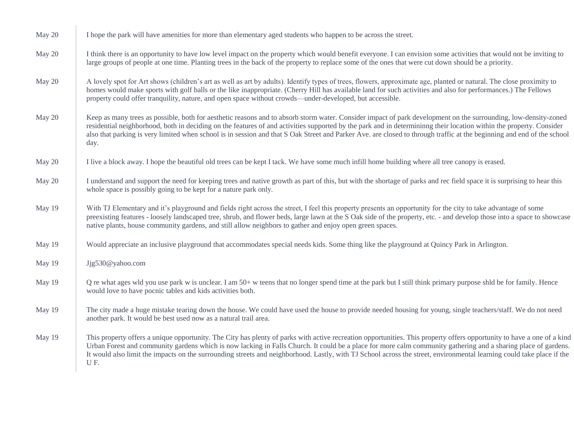| May 20 | I hope the park will have amenities for more than elementary aged students who happen to be across the street.                                                                                                                                                                                                                                                                                                                                                                                                           |
|--------|--------------------------------------------------------------------------------------------------------------------------------------------------------------------------------------------------------------------------------------------------------------------------------------------------------------------------------------------------------------------------------------------------------------------------------------------------------------------------------------------------------------------------|
| May 20 | I think there is an opportunity to have low level impact on the property which would benefit everyone. I can envision some activities that would not be inviting to<br>large groups of people at one time. Planting trees in the back of the property to replace some of the ones that were cut down should be a priority.                                                                                                                                                                                               |
| May 20 | A lovely spot for Art shows (children's art as well as art by adults). Identify types of trees, flowers, approximate age, planted or natural. The close proximity to<br>homes would make sports with golf balls or the like inappropriate. (Cherry Hill has available land for such activities and also for performances.) The Fellows<br>property could offer tranquility, nature, and open space without crowds—under-developed, but accessible.                                                                       |
| May 20 | Keep as many trees as possible, both for aesthetic reasons and to absorb storm water. Consider impact of park development on the surrounding, low-density-zoned<br>residential neighborhood, both in deciding on the features of and activities supported by the park and in determininng their location within the property. Consider<br>also that parking is very limited when school is in session and that S Oak Street and Parker Ave. are closed to through traffic at the beginning and end of the school<br>day. |
| May 20 | I live a block away. I hope the beautiful old trees can be kept I tack. We have some much infill home building where all tree canopy is erased.                                                                                                                                                                                                                                                                                                                                                                          |
| May 20 | I understand and support the need for keeping trees and native growth as part of this, but with the shortage of parks and rec field space it is surprising to hear this<br>whole space is possibly going to be kept for a nature park only.                                                                                                                                                                                                                                                                              |
| May 19 | With TJ Elementary and it's playground and fields right across the street, I feel this property presents an opportunity for the city to take advantage of some<br>preexisting features - loosely landscaped tree, shrub, and flower beds, large lawn at the S Oak side of the property, etc. - and develop those into a space to showcase<br>native plants, house community gardens, and still allow neighbors to gather and enjoy open green spaces.                                                                    |
| May 19 | Would appreciate an inclusive playground that accommodates special needs kids. Some thing like the playground at Quincy Park in Arlington.                                                                                                                                                                                                                                                                                                                                                                               |
| May 19 | Jjg530@yahoo.com                                                                                                                                                                                                                                                                                                                                                                                                                                                                                                         |
| May 19 | Q re what ages wld you use park w is unclear. I am 50+ w teens that no longer spend time at the park but I still think primary purpose shild be for family. Hence<br>would love to have pocnic tables and kids activities both.                                                                                                                                                                                                                                                                                          |
| May 19 | The city made a huge mistake tearing down the house. We could have used the house to provide needed housing for young, single teachers/staff. We do not need<br>another park. It would be best used now as a natural trail area.                                                                                                                                                                                                                                                                                         |
| May 19 | This property offers a unique opportunity. The City has plenty of parks with active recreation opportunities. This property offers opportunity to have a one of a kind<br>Urban Forest and community gardens which is now lacking in Falls Church. It could be a place for more calm community gathering and a sharing place of gardens.<br>It would also limit the impacts on the surrounding streets and neighborhood. Lastly, with TJ School across the street, environmental learning could take place if the<br>UF. |
|        |                                                                                                                                                                                                                                                                                                                                                                                                                                                                                                                          |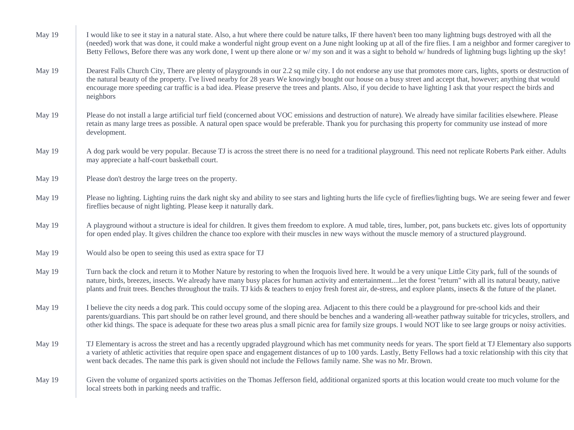| May 19 | I would like to see it stay in a natural state. Also, a hut where there could be nature talks, IF there haven't been too many lightning bugs destroyed with all the<br>(needed) work that was done, it could make a wonderful night group event on a June night looking up at all of the fire flies. I am a neighbor and former caregiver to<br>Betty Fellows, Before there was any work done, I went up there alone or w/my son and it was a sight to behold w/hundreds of lightning bugs lighting up the sky!               |
|--------|-------------------------------------------------------------------------------------------------------------------------------------------------------------------------------------------------------------------------------------------------------------------------------------------------------------------------------------------------------------------------------------------------------------------------------------------------------------------------------------------------------------------------------|
| May 19 | Dearest Falls Church City, There are plenty of playgrounds in our 2.2 sq mile city. I do not endorse any use that promotes more cars, lights, sports or destruction of<br>the natural beauty of the property. I've lived nearby for 28 years We knowingly bought our house on a busy street and accept that, however; anything that would<br>encourage more speeding car traffic is a bad idea. Please preserve the trees and plants. Also, if you decide to have lighting I ask that your respect the birds and<br>neighbors |
| May 19 | Please do not install a large artificial turf field (concerned about VOC emissions and destruction of nature). We already have similar facilities elsewhere. Please<br>retain as many large trees as possible. A natural open space would be preferable. Thank you for purchasing this property for community use instead of more<br>development.                                                                                                                                                                             |
| May 19 | A dog park would be very popular. Because TJ is across the street there is no need for a traditional playground. This need not replicate Roberts Park either. Adults<br>may appreciate a half-court basketball court.                                                                                                                                                                                                                                                                                                         |
| May 19 | Please don't destroy the large trees on the property.                                                                                                                                                                                                                                                                                                                                                                                                                                                                         |
| May 19 | Please no lighting. Lighting ruins the dark night sky and ability to see stars and lighting hurts the life cycle of fireflies/lighting bugs. We are seeing fewer and fewer<br>fireflies because of night lighting. Please keep it naturally dark.                                                                                                                                                                                                                                                                             |
| May 19 | A playground without a structure is ideal for children. It gives them freedom to explore. A mud table, tires, lumber, pot, pans buckets etc. gives lots of opportunity<br>for open ended play. It gives children the chance too explore with their muscles in new ways without the muscle memory of a structured playground.                                                                                                                                                                                                  |
| May 19 | Would also be open to seeing this used as extra space for TJ                                                                                                                                                                                                                                                                                                                                                                                                                                                                  |
| May 19 | Turn back the clock and return it to Mother Nature by restoring to when the Iroquois lived here. It would be a very unique Little City park, full of the sounds of<br>nature, birds, breezes, insects. We already have many busy places for human activity and entertainmentlet the forest "return" with all its natural beauty, native<br>plants and fruit trees. Benches throughout the trails. TJ kids & teachers to enjoy fresh forest air, de-stress, and explore plants, insects & the future of the planet.            |
| May 19 | I believe the city needs a dog park. This could occupy some of the sloping area. Adjacent to this there could be a playground for pre-school kids and their<br>parents/guardians. This part should be on rather level ground, and there should be benches and a wandering all-weather pathway suitable for tricycles, strollers, and<br>other kid things. The space is adequate for these two areas plus a small picnic area for family size groups. I would NOT like to see large groups or noisy activities.                |
| May 19 | TJ Elementary is across the street and has a recently upgraded playground which has met community needs for years. The sport field at TJ Elementary also supports<br>a variety of athletic activities that require open space and engagement distances of up to 100 yards. Lastly, Betty Fellows had a toxic relationship with this city that<br>went back decades. The name this park is given should not include the Fellows family name. She was no Mr. Brown.                                                             |
| May 19 | Given the volume of organized sports activities on the Thomas Jefferson field, additional organized sports at this location would create too much volume for the<br>local streets both in parking needs and traffic.                                                                                                                                                                                                                                                                                                          |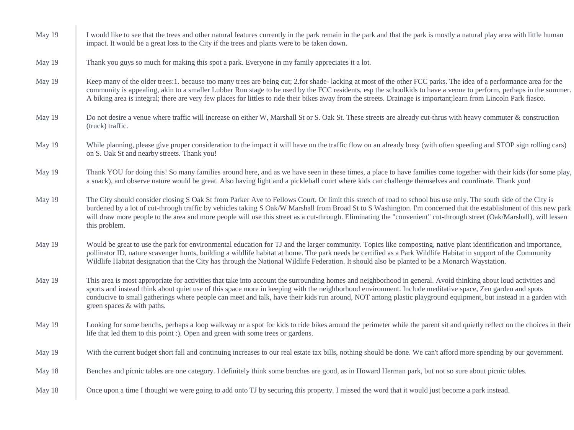| May 19 | I would like to see that the trees and other natural features currently in the park remain in the park and that the park is mostly a natural play area with little human<br>impact. It would be a great loss to the City if the trees and plants were to be taken down.                                                                                                                                                                                                                                                       |
|--------|-------------------------------------------------------------------------------------------------------------------------------------------------------------------------------------------------------------------------------------------------------------------------------------------------------------------------------------------------------------------------------------------------------------------------------------------------------------------------------------------------------------------------------|
| May 19 | Thank you guys so much for making this spot a park. Everyone in my family appreciates it a lot.                                                                                                                                                                                                                                                                                                                                                                                                                               |
| May 19 | Keep many of the older trees:1. because too many trees are being cut; 2.for shade-lacking at most of the other FCC parks. The idea of a performance area for the<br>community is appealing, akin to a smaller Lubber Run stage to be used by the FCC residents, esp the schoolkids to have a venue to perform, perhaps in the summer.<br>A biking area is integral; there are very few places for littles to ride their bikes away from the streets. Drainage is important; learn from Lincoln Park fiasco.                   |
| May 19 | Do not desire a venue where traffic will increase on either W, Marshall St or S. Oak St. These streets are already cut-thrus with heavy commuter & construction<br>(truck) traffic.                                                                                                                                                                                                                                                                                                                                           |
| May 19 | While planning, please give proper consideration to the impact it will have on the traffic flow on an already busy (with often speeding and STOP sign rolling cars)<br>on S. Oak St and nearby streets. Thank you!                                                                                                                                                                                                                                                                                                            |
| May 19 | Thank YOU for doing this! So many families around here, and as we have seen in these times, a place to have families come together with their kids (for some play,<br>a snack), and observe nature would be great. Also having light and a pickleball court where kids can challenge themselves and coordinate. Thank you!                                                                                                                                                                                                    |
| May 19 | The City should consider closing S Oak St from Parker Ave to Fellows Court. Or limit this stretch of road to school bus use only. The south side of the City is<br>burdened by a lot of cut-through traffic by vehicles taking S Oak/W Marshall from Broad St to S Washington. I'm concerned that the establishment of this new park<br>will draw more people to the area and more people will use this street as a cut-through. Eliminating the "convenient" cut-through street (Oak/Marshall), will lessen<br>this problem. |
| May 19 | Would be great to use the park for environmental education for TJ and the larger community. Topics like composting, native plant identification and importance,<br>pollinator ID, nature scavenger hunts, building a wildlife habitat at home. The park needs be certified as a Park Wildlife Habitat in support of the Community<br>Wildlife Habitat designation that the City has through the National Wildlife Federation. It should also be planted to be a Monarch Waystation.                                           |
| May 19 | This area is most appropriate for activities that take into account the surrounding homes and neighborhood in general. Avoid thinking about loud activities and<br>sports and instead think about quiet use of this space more in keeping with the neighborhood environment. Include meditative space, Zen garden and spots<br>conducive to small gatherings where people can meet and talk, have their kids run around, NOT among plastic playground equipment, but instead in a garden with<br>green spaces & with paths.   |
| May 19 | Looking for some benchs, perhaps a loop walkway or a spot for kids to ride bikes around the perimeter while the parent sit and quietly reflect on the choices in their<br>life that led them to this point :). Open and green with some trees or gardens.                                                                                                                                                                                                                                                                     |
| May 19 | With the current budget short fall and continuing increases to our real estate tax bills, nothing should be done. We can't afford more spending by our government.                                                                                                                                                                                                                                                                                                                                                            |
| May 18 | Benches and picnic tables are one category. I definitely think some benches are good, as in Howard Herman park, but not so sure about picnic tables.                                                                                                                                                                                                                                                                                                                                                                          |
| May 18 | Once upon a time I thought we were going to add onto TJ by securing this property. I missed the word that it would just become a park instead.                                                                                                                                                                                                                                                                                                                                                                                |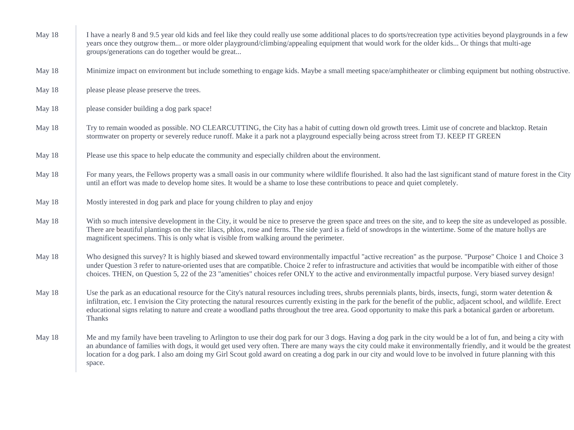| May 18 | I have a nearly 8 and 9.5 year old kids and feel like they could really use some additional places to do sports/recreation type activities beyond playgrounds in a few<br>years once they outgrow them or more older playground/climbing/appealing equipment that would work for the older kids Or things that multi-age<br>groups/generations can do together would be great                                                                                                                                                   |
|--------|---------------------------------------------------------------------------------------------------------------------------------------------------------------------------------------------------------------------------------------------------------------------------------------------------------------------------------------------------------------------------------------------------------------------------------------------------------------------------------------------------------------------------------|
| May 18 | Minimize impact on environment but include something to engage kids. Maybe a small meeting space/amphitheater or climbing equipment but nothing obstructive.                                                                                                                                                                                                                                                                                                                                                                    |
| May 18 | please please please preserve the trees.                                                                                                                                                                                                                                                                                                                                                                                                                                                                                        |
| May 18 | please consider building a dog park space!                                                                                                                                                                                                                                                                                                                                                                                                                                                                                      |
| May 18 | Try to remain wooded as possible. NO CLEARCUTTING, the City has a habit of cutting down old growth trees. Limit use of concrete and blacktop. Retain<br>stormwater on property or severely reduce runoff. Make it a park not a playground especially being across street from TJ. KEEP IT GREEN                                                                                                                                                                                                                                 |
| May 18 | Please use this space to help educate the community and especially children about the environment.                                                                                                                                                                                                                                                                                                                                                                                                                              |
| May 18 | For many years, the Fellows property was a small oasis in our community where wildlife flourished. It also had the last significant stand of mature forest in the City<br>until an effort was made to develop home sites. It would be a shame to lose these contributions to peace and quiet completely.                                                                                                                                                                                                                        |
| May 18 | Mostly interested in dog park and place for young children to play and enjoy                                                                                                                                                                                                                                                                                                                                                                                                                                                    |
| May 18 | With so much intensive development in the City, it would be nice to preserve the green space and trees on the site, and to keep the site as undeveloped as possible.<br>There are beautiful plantings on the site: lilacs, phlox, rose and ferns. The side yard is a field of snowdrops in the wintertime. Some of the mature hollys are<br>magnificent specimens. This is only what is visible from walking around the perimeter.                                                                                              |
| May 18 | Who designed this survey? It is highly biased and skewed toward environmentally impactful "active recreation" as the purpose. "Purpose" Choice 1 and Choice 3<br>under Question 3 refer to nature-oriented uses that are compatible. Choice 2 refer to infrastructure and activities that would be incompatible with either of those<br>choices. THEN, on Question 5, 22 of the 23 "amenities" choices refer ONLY to the active and environmentally impactful purpose. Very biased survey design!                               |
| May 18 | Use the park as an educational resource for the City's natural resources including trees, shrubs perennials plants, birds, insects, fungi, storm water detention $\&$<br>infiltration, etc. I envision the City protecting the natural resources currently existing in the park for the benefit of the public, adjacent school, and wildlife. Erect<br>educational signs relating to nature and create a woodland paths throughout the tree area. Good opportunity to make this park a botanical garden or arboretum.<br>Thanks |
| May 18 | Me and my family have been traveling to Arlington to use their dog park for our 3 dogs. Having a dog park in the city would be a lot of fun, and being a city with<br>an abundance of families with dogs, it would get used very often. There are many ways the city could make it environmentally friendly, and it would be the greatest<br>location for a dog park. I also am doing my Girl Scout gold award on creating a dog park in our city and would love to be involved in future planning with this<br>space.          |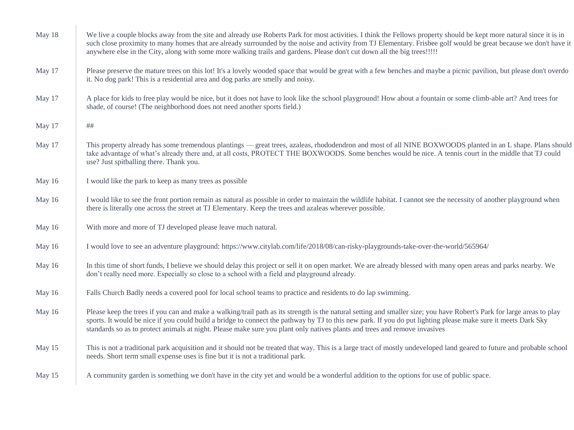| May 18 | We live a couple blocks away from the site and already use Roberts Park for most activities. I think the Fellows property should be kept more natural since it is in<br>such close proximity to many homes that are already surrounded by the noise and activity from TJ Elementary. Frisbee golf would be great because we don't have it<br>anywhere else in the City, along with some more walking trails and gardens. Please don't cut down all the big trees!!!!! |
|--------|-----------------------------------------------------------------------------------------------------------------------------------------------------------------------------------------------------------------------------------------------------------------------------------------------------------------------------------------------------------------------------------------------------------------------------------------------------------------------|
| May 17 | Please preserve the mature trees on this lot! It's a lovely wooded space that would be great with a few benches and maybe a picnic pavilion, but please don't overdo<br>it. No dog park! This is a residential area and dog parks are smelly and noisy.                                                                                                                                                                                                               |
| May 17 | A place for kids to free play would be nice, but it does not have to look like the school playground! How about a fountain or some climb-able art? And trees for<br>shade, of course! (The neighborhood does not need another sports field.)                                                                                                                                                                                                                          |
| May 17 | $\# \#$                                                                                                                                                                                                                                                                                                                                                                                                                                                               |
| May 17 | This property already has some tremendous plantings — great trees, azaleas, rhododendron and most of all NINE BOXWOODS planted in an L shape. Plans should<br>take advantage of what's already there and, at all costs, PROTECT THE BOXWOODS. Some benches would be nice. A tennis court in the middle that TJ could<br>use? Just spitballing there. Thank you.                                                                                                       |
| May 16 | I would like the park to keep as many trees as possible                                                                                                                                                                                                                                                                                                                                                                                                               |
| May 16 | I would like to see the front portion remain as natural as possible in order to maintain the wildlife habitat. I cannot see the necessity of another playground when<br>there is literally one across the street at TJ Elementary. Keep the trees and azaleas wherever possible.                                                                                                                                                                                      |
| May 16 | With more and more of TJ developed please leave much natural.                                                                                                                                                                                                                                                                                                                                                                                                         |
| May 16 | I would love to see an adventure playground: https://www.citylab.com/life/2018/08/can-risky-playgrounds-take-over-the-world/565964/                                                                                                                                                                                                                                                                                                                                   |
| May 16 | In this time of short funds, I believe we should delay this project or sell it on open market. We are already blessed with many open areas and parks nearby. We<br>don't really need more. Especially so close to a school with a field and playground already.                                                                                                                                                                                                       |
| May 16 | Falls Church Badly needs a covered pool for local school teams to practice and residents to do lap swimming.                                                                                                                                                                                                                                                                                                                                                          |
| May 16 | Please keep the trees if you can and make a walking/trail path as its strength is the natural setting and smaller size; you have Robert's Park for large areas to play<br>sports. It would be nice if you could build a bridge to connect the pathway by TJ to this new park. If you do put lighting please make sure it meets Dark Sky<br>standards so as to protect animals at night. Please make sure you plant only natives plants and trees and remove invasives |
| May 15 | This is not a traditional park acquisition and it should not be treated that way. This is a large tract of mostly undeveloped land geared to future and probable school<br>needs. Short term small expense uses is fine but it is not a traditional park.                                                                                                                                                                                                             |
| May 15 | A community garden is something we don't have in the city yet and would be a wonderful addition to the options for use of public space.                                                                                                                                                                                                                                                                                                                               |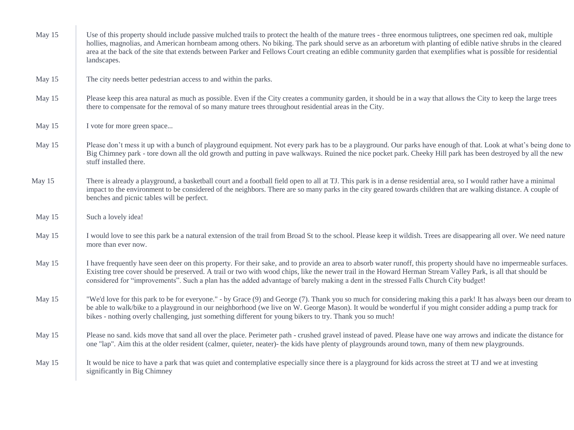| May 15 | Use of this property should include passive mulched trails to protect the health of the mature trees - three enormous tuliptrees, one specimen red oak, multiple<br>hollies, magnolias, and American hornbeam among others. No biking. The park should serve as an arboretum with planting of edible native shrubs in the cleared<br>area at the back of the site that extends between Parker and Fellows Court creating an edible community garden that exemplifies what is possible for residential<br>landscapes. |
|--------|----------------------------------------------------------------------------------------------------------------------------------------------------------------------------------------------------------------------------------------------------------------------------------------------------------------------------------------------------------------------------------------------------------------------------------------------------------------------------------------------------------------------|
| May 15 | The city needs better pedestrian access to and within the parks.                                                                                                                                                                                                                                                                                                                                                                                                                                                     |
| May 15 | Please keep this area natural as much as possible. Even if the City creates a community garden, it should be in a way that allows the City to keep the large trees<br>there to compensate for the removal of so many mature trees throughout residential areas in the City.                                                                                                                                                                                                                                          |
| May 15 | I vote for more green space                                                                                                                                                                                                                                                                                                                                                                                                                                                                                          |
| May 15 | Please don't mess it up with a bunch of playground equipment. Not every park has to be a playground. Our parks have enough of that. Look at what's being done to<br>Big Chimney park - tore down all the old growth and putting in pave walkways. Ruined the nice pocket park. Cheeky Hill park has been destroyed by all the new<br>stuff installed there.                                                                                                                                                          |
| May 15 | There is already a playground, a basketball court and a football field open to all at TJ. This park is in a dense residential area, so I would rather have a minimal<br>impact to the environment to be considered of the neighbors. There are so many parks in the city geared towards children that are walking distance. A couple of<br>benches and picnic tables will be perfect.                                                                                                                                |
| May 15 | Such a lovely idea!                                                                                                                                                                                                                                                                                                                                                                                                                                                                                                  |
| May 15 | I would love to see this park be a natural extension of the trail from Broad St to the school. Please keep it wildish. Trees are disappearing all over. We need nature<br>more than ever now.                                                                                                                                                                                                                                                                                                                        |
| May 15 | I have frequently have seen deer on this property. For their sake, and to provide an area to absorb water runoff, this property should have no impermeable surfaces.<br>Existing tree cover should be preserved. A trail or two with wood chips, like the newer trail in the Howard Herman Stream Valley Park, is all that should be<br>considered for "improvements". Such a plan has the added advantage of barely making a dent in the stressed Falls Church City budget!                                         |
| May 15 | "We'd love for this park to be for everyone." - by Grace (9) and George (7). Thank you so much for considering making this a park! It has always been our dream to<br>be able to walk/bike to a playground in our neighborhood (we live on W. George Mason). It would be wonderful if you might consider adding a pump track for<br>bikes - nothing overly challenging, just something different for young bikers to try. Thank you so much!                                                                         |
| May 15 | Please no sand. kids move that sand all over the place. Perimeter path - crushed gravel instead of paved. Please have one way arrows and indicate the distance for<br>one "lap". Aim this at the older resident (calmer, quieter, neater)- the kids have plenty of playgrounds around town, many of them new playgrounds.                                                                                                                                                                                            |
| May 15 | It would be nice to have a park that was quiet and contemplative especially since there is a playground for kids across the street at TJ and we at investing<br>significantly in Big Chimney                                                                                                                                                                                                                                                                                                                         |